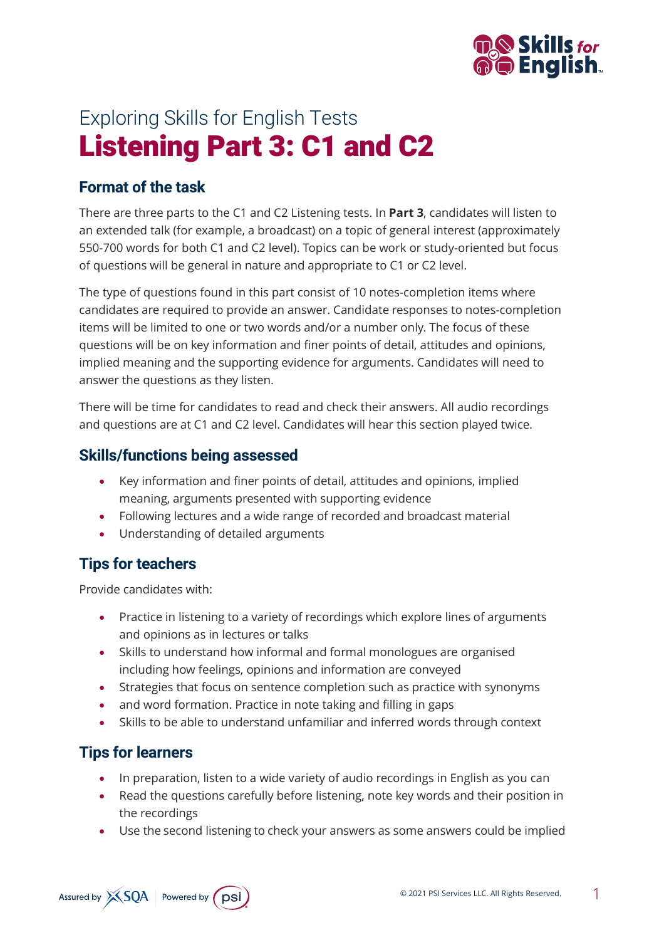

# Exploring Skills for English Tests Listening Part 3: C1 and C2

## **Format of the task**

There are three parts to the C1 and C2 Listening tests. In **Part 3**, candidates will listen to an extended talk (for example, a broadcast) on a topic of general interest (approximately 550-700 words for both C1 and C2 level). Topics can be work or study-oriented but focus of questions will be general in nature and appropriate to C1 or C2 level.

The type of questions found in this part consist of 10 notes-completion items where candidates are required to provide an answer. Candidate responses to notes-completion items will be limited to one or two words and/or a number only. The focus of these questions will be on key information and finer points of detail, attitudes and opinions, implied meaning and the supporting evidence for arguments. Candidates will need to answer the questions as they listen.

There will be time for candidates to read and check their answers. All audio recordings and questions are at C1 and C2 level. Candidates will hear this section played twice.

## **Skills/functions being assessed**

- Key information and finer points of detail, attitudes and opinions, implied meaning, arguments presented with supporting evidence
- Following lectures and a wide range of recorded and broadcast material
- Understanding of detailed arguments

# **Tips for teachers**

Provide candidates with:

- Practice in listening to a variety of recordings which explore lines of arguments and opinions as in lectures or talks
- Skills to understand how informal and formal monologues are organised including how feelings, opinions and information are conveyed
- Strategies that focus on sentence completion such as practice with synonyms
- and word formation. Practice in note taking and filling in gaps
- Skills to be able to understand unfamiliar and inferred words through context

# **Tips for learners**

- In preparation, listen to a wide variety of audio recordings in English as you can
- Read the questions carefully before listening, note key words and their position in the recordings
- Use the second listening to check your answers as some answers could be implied

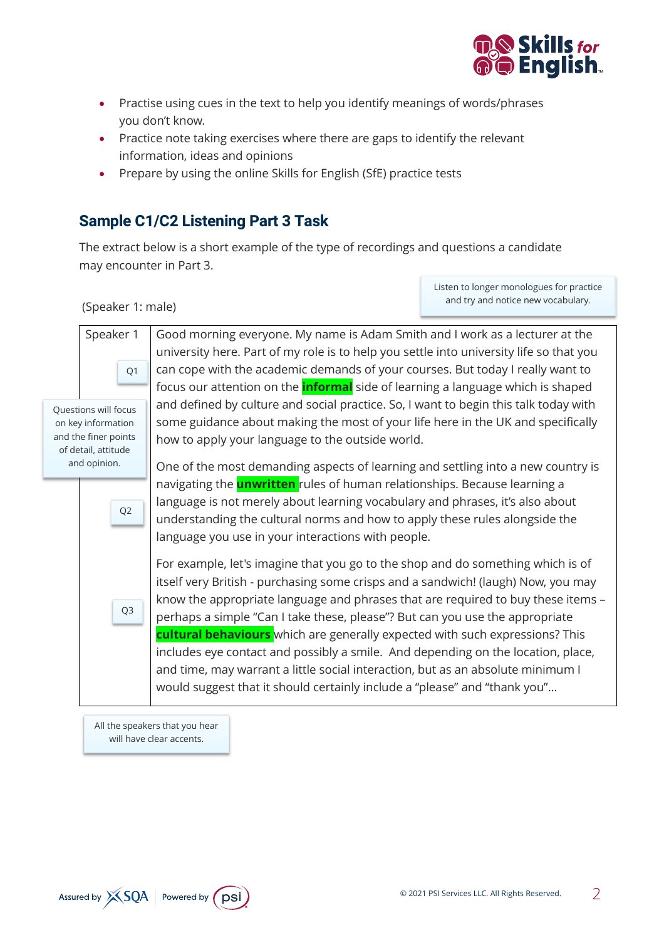

- Practise using cues in the text to help you identify meanings of words/phrases you don't know.
- Practice note taking exercises where there are gaps to identify the relevant information, ideas and opinions
- Prepare by using the online Skills for English (SfE) practice tests

## **Sample C1/C2 Listening Part 3 Task**

The extract below is a short example of the type of recordings and questions a candidate may encounter in Part 3.

(Speaker 1: male)

Listen to longer monologues for practice and try and notice new vocabulary.

| Good morning everyone. My name is Adam Smith and I work as a lecturer at the                                                                                                                                                                                                                                                                                                                                                                                                                                                                                                                                                                                                 |
|------------------------------------------------------------------------------------------------------------------------------------------------------------------------------------------------------------------------------------------------------------------------------------------------------------------------------------------------------------------------------------------------------------------------------------------------------------------------------------------------------------------------------------------------------------------------------------------------------------------------------------------------------------------------------|
| university here. Part of my role is to help you settle into university life so that you                                                                                                                                                                                                                                                                                                                                                                                                                                                                                                                                                                                      |
| can cope with the academic demands of your courses. But today I really want to                                                                                                                                                                                                                                                                                                                                                                                                                                                                                                                                                                                               |
| focus our attention on the <b>informal</b> side of learning a language which is shaped                                                                                                                                                                                                                                                                                                                                                                                                                                                                                                                                                                                       |
| and defined by culture and social practice. So, I want to begin this talk today with<br>some guidance about making the most of your life here in the UK and specifically<br>how to apply your language to the outside world.                                                                                                                                                                                                                                                                                                                                                                                                                                                 |
| One of the most demanding aspects of learning and settling into a new country is                                                                                                                                                                                                                                                                                                                                                                                                                                                                                                                                                                                             |
| navigating the <b>unwritten</b> rules of human relationships. Because learning a<br>language is not merely about learning vocabulary and phrases, it's also about<br>understanding the cultural norms and how to apply these rules alongside the<br>language you use in your interactions with people.                                                                                                                                                                                                                                                                                                                                                                       |
| For example, let's imagine that you go to the shop and do something which is of<br>itself very British - purchasing some crisps and a sandwich! (laugh) Now, you may<br>know the appropriate language and phrases that are required to buy these items -<br>perhaps a simple "Can I take these, please"? But can you use the appropriate<br>cultural behaviours which are generally expected with such expressions? This<br>includes eye contact and possibly a smile. And depending on the location, place,<br>and time, may warrant a little social interaction, but as an absolute minimum I<br>would suggest that it should certainly include a "please" and "thank you" |
|                                                                                                                                                                                                                                                                                                                                                                                                                                                                                                                                                                                                                                                                              |

All the speakers that you hear will have clear accents.